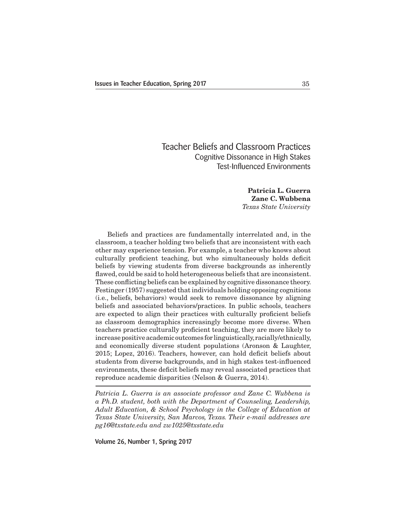# Teacher Beliefs and Classroom Practices Cognitive Dissonance in High Stakes Test-Influenced Environments

**Patricia L. Guerra Zane C. Wubbena** *Texas State University*

 Beliefs and practices are fundamentally interrelated and, in the classroom, a teacher holding two beliefs that are inconsistent with each other may experience tension. For example, a teacher who knows about culturally proficient teaching, but who simultaneously holds deficit beliefs by viewing students from diverse backgrounds as inherently flawed, could be said to hold heterogeneous beliefs that are inconsistent. These conflicting beliefs can be explained by cognitive dissonance theory. Festinger (1957) suggested that individuals holding opposing cognitions (i.e., beliefs, behaviors) would seek to remove dissonance by aligning beliefs and associated behaviors/practices. In public schools, teachers are expected to align their practices with culturally proficient beliefs as classroom demographics increasingly become more diverse. When teachers practice culturally proficient teaching, they are more likely to increase positive academic outcomes for linguistically, racially/ethnically, and economically diverse student populations (Aronson & Laughter, 2015; Lopez, 2016). Teachers, however, can hold deficit beliefs about students from diverse backgrounds, and in high stakes test-influenced environments, these deficit beliefs may reveal associated practices that reproduce academic disparities (Nelson & Guerra, 2014).

*Patricia L. Guerra is an associate professor and Zane C. Wubbena is a Ph.D. student, both with the Department of Counseling, Leadership, Adult Education, & School Psychology in the College of Education at Texas State University, San Marcos, Texas. Their e-mail addresses are pg16@txstate.edu and zw1025@txstate.edu*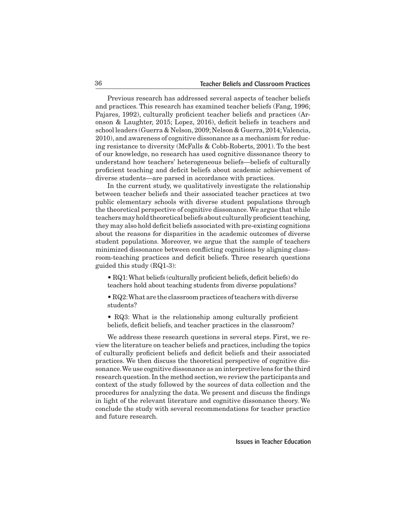Previous research has addressed several aspects of teacher beliefs and practices. This research has examined teacher beliefs (Fang, 1996; Pajares, 1992), culturally proficient teacher beliefs and practices (Aronson & Laughter, 2015; Lopez, 2016), deficit beliefs in teachers and school leaders (Guerra & Nelson,2009;Nelson & Guerra,2014;Valencia, 2010), and awareness of cognitive dissonance as a mechanism for reducing resistance to diversity (McFalls & Cobb-Roberts, 2001). To the best of our knowledge, no research has used cognitive dissonance theory to understand how teachers' heterogeneous beliefs—beliefs of culturally proficient teaching and deficit beliefs about academic achievement of diverse students—are parsed in accordance with practices.

 In the current study, we qualitatively investigate the relationship between teacher beliefs and their associated teacher practices at two public elementary schools with diverse student populations through the theoretical perspective of cognitive dissonance.We argue that while teachers may hold theoretical beliefs about culturally proficient teaching, they may also hold deficit beliefs associated with pre-existing cognitions about the reasons for disparities in the academic outcomes of diverse student populations. Moreover, we argue that the sample of teachers minimized dissonance between conflicting cognitions by aligning classroom-teaching practices and deficit beliefs. Three research questions guided this study (RQ1-3):

• RQ1:What beliefs (culturally proficient beliefs, deficit beliefs) do teachers hold about teaching students from diverse populations?

• RQ2: What are the classroom practices of teachers with diverse students?

• RQ3: What is the relationship among culturally proficient beliefs, deficit beliefs, and teacher practices in the classroom?

 We address these research questions in several steps. First, we review the literature on teacher beliefs and practices, including the topics of culturally proficient beliefs and deficit beliefs and their associated practices. We then discuss the theoretical perspective of cognitive dissonance.Weuse cognitive dissonance as aninterpretive lens for the third research question. In the method section,we review the participants and context of the study followed by the sources of data collection and the procedures for analyzing the data. We present and discuss the findings in light of the relevant literature and cognitive dissonance theory. We conclude the study with several recommendations for teacher practice and future research.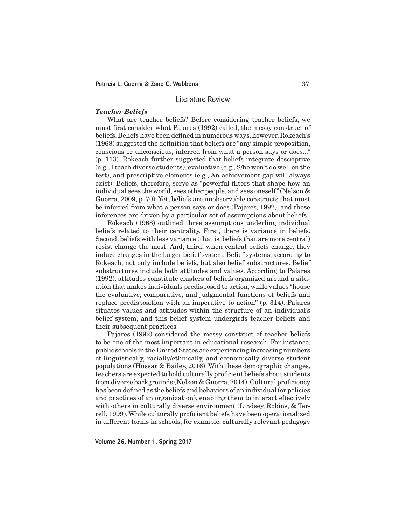### Literature Review

#### *Teacher Beliefs*

 What are teacher beliefs? Before considering teacher beliefs, we must first consider what Pajares (1992) called, the messy construct of beliefs. Beliefs have been defined in numerous ways, however, Rokeach's (1968) suggested the definition that beliefs are "any simple proposition, conscious or unconscious, inferred from what a person says or does..." (p. 113). Rokeach further suggested that beliefs integrate descriptive (e.g., I teach diverse students), evaluative (e.g., S/he won't do well on the test), and prescriptive elements (e.g., An achievement gap will always exist). Beliefs, therefore, serve as "powerful filters that shape how an individual sees the world, sees other people, and sees oneself"(Nelson & Guerra, 2009, p. 70). Yet, beliefs are unobservable constructs that must be inferred from what a person says or does (Pajares, 1992), and these inferences are driven by a particular set of assumptions about beliefs.

 Rokeach (1968) outlined three assumptions underling individual beliefs related to their centrality. First, there is variance in beliefs. Second, beliefs with less variance (that is, beliefs that are more central) resist change the most. And, third, when central beliefs change, they induce changes in the larger belief system. Belief systems, according to Rokeach, not only include beliefs, but also belief substructures. Belief substructures include both attitudes and values. According to Pajares (1992), attitudes constitute clusters of beliefs organized around a situation that makes individuals predisposed to action, while values "house the evaluative, comparative, and judgmental functions of beliefs and replace predisposition with an imperative to action" (p. 314). Pajares situates values and attitudes within the structure of an individual's belief system, and this belief system undergirds teacher beliefs and their subsequent practices.

 Pajares (1992) considered the messy construct of teacher beliefs to be one of the most important in educational research. For instance, public schools in the United States are experiencing increasing numbers of linguistically, racially/ethnically, and economically diverse student populations (Hussar & Bailey, 2016). With these demographic changes, teachers are expected to hold culturally proficient beliefs about students from diverse backgrounds (Nelson & Guerra, 2014). Cultural proficiency has been defined as the beliefs and behaviors of an individual (or policies and practices of an organization), enabling them to interact effectively with others in culturally diverse environment (Lindsey, Robins, & Terrell, 1999).While culturally proficient beliefs have been operationalized in different forms in schools, for example, culturally relevant pedagogy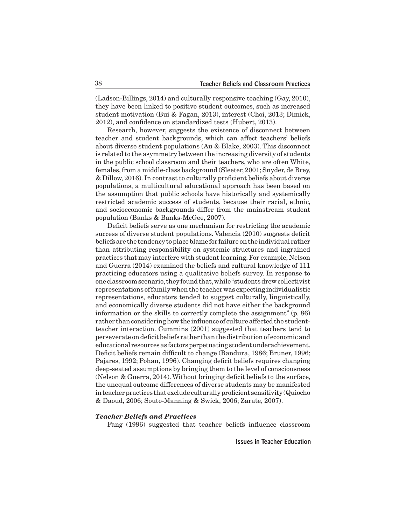(Ladson-Billings, 2014) and culturally responsive teaching (Gay, 2010), they have been linked to positive student outcomes, such as increased student motivation (Bui & Fagan, 2013), interest (Choi, 2013; Dimick, 2012), and confidence on standardized tests (Hubert, 2013).

 Research, however, suggests the existence of disconnect between teacher and student backgrounds, which can affect teachers' beliefs about diverse student populations (Au & Blake, 2003). This disconnect is related to the asymmetry between the increasing diversity of students in the public school classroom and their teachers, who are often White, females, from a middle-class background (Sleeter, 2001; Snyder, de Brey, & Dillow, 2016). In contrast to culturally proficient beliefs about diverse populations, a multicultural educational approach has been based on the assumption that public schools have historically and systemically restricted academic success of students, because their racial, ethnic, and socioeconomic backgrounds differ from the mainstream student population (Banks & Banks-McGee, 2007).

 Deficit beliefs serve as one mechanism for restricting the academic success of diverse student populations. Valencia (2010) suggests deficit beliefsare the tendency toplaceblame for failure onthe individual rather than attributing responsibility on systemic structures and ingrained practices that may interfere with studentlearning.For example, Nelson and Guerra (2014) examined the beliefs and cultural knowledge of 111 practicing educators using a qualitative beliefs survey. In response to one classroomscenario,they foundthat,while"studentsdrewcollectivist representations offamilywhenthe teacherwas expecting individualistic representations, educators tended to suggest culturally, linguistically, and economically diverse students did not have either the background information or the skills to correctly complete the assignment" (p. 86) rather than considering how the influence of culture affected the studentteacher interaction. Cummins (2001) suggested that teachers tend to perseverate ondeficitbeliefs rather thanthedistributionof economicand educational resources as factors perpetuating student underachievement. Deficit beliefs remain difficult to change (Bandura, 1986; Bruner, 1996; Pajares, 1992; Pohan, 1996). Changing deficit beliefs requires changing deep-seated assumptions by bringing them to the level of consciousness (Nelson & Guerra, 2014).Without bringing deficit beliefs to the surface, the unequal outcome differences of diverse students may be manifested in teacher practices that exclude culturally proficient sensitivity (Quiocho & Daoud, 2006; Souto-Manning & Swick, 2006; Zarate, 2007).

### *Teacher Beliefs and Practices*

 Fang (1996) suggested that teacher beliefs influence classroom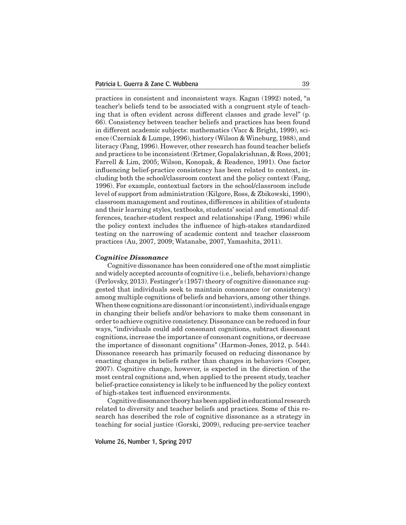practices in consistent and inconsistent ways. Kagan (1992) noted, "a teacher's beliefs tend to be associated with a congruent style of teaching that is often evident across different classes and grade level" (p. 66). Consistency between teacher beliefs and practices has been found in different academic subjects: mathematics (Vacc & Bright, 1999), science (Czerniak & Lumpe, 1996), history (Wilson & Wineburg, 1988), and literacy (Fang, 1996). However, other research has found teacher beliefs and practices to be inconsistent(Ertmer, Gopalakrishnan, & Ross, 2001; Farrell & Lim, 2005; Wilson, Konopak, & Readence, 1991). One factor influencing belief-practice consistency has been related to context, including both the school/classroom context and the policy context (Fang, 1996). For example, contextual factors in the school/classroom include level of support from administration (Kilgore, Ross, & Zbikowski, 1990), classroom management and routines, differences in abilities of students and their learning styles, textbooks, students' social and emotional differences, teacher-student respect and relationships (Fang, 1996) while the policy context includes the influence of high-stakes standardized testing on the narrowing of academic content and teacher classroom practices (Au, 2007, 2009; Watanabe, 2007, Yamashita, 2011).

### *Cognitive Dissonance*

Cognitive dissonance has been considered one of the most simplistic and widely accepted accounts of cognitive (i.e., beliefs, behaviors) change (Perlovsky, 2013). Festinger's (1957) theory of cognitive dissonance suggested that individuals seek to maintain consonance (or consistency) among multiple cognitions of beliefs and behaviors, among other things. When these cognitions are dissonant (or inconsistent), individuals engage in changing their beliefs and/or behaviors to make them consonant in order to achieve cognitive consistency.Dissonance can be reduced in four ways, "individuals could add consonant cognitions, subtract dissonant cognitions, increase the importance of consonant cognitions, or decrease the importance of dissonant cognitions" (Harmon-Jones, 2012, p. 544). Dissonance research has primarily focused on reducing dissonance by enacting changes in beliefs rather than changes in behaviors (Cooper, 2007). Cognitive change, however, is expected in the direction of the most central cognitions and, when applied to the present study, teacher belief-practice consistency is likely to be influenced by the policy context of high-stakes test influenced environments.

 Cognitivedissonancetheoryhasbeenappliedineducational research related to diversity and teacher beliefs and practices. Some of this research has described the role of cognitive dissonance as a strategy in teaching for social justice (Gorski, 2009), reducing pre-service teacher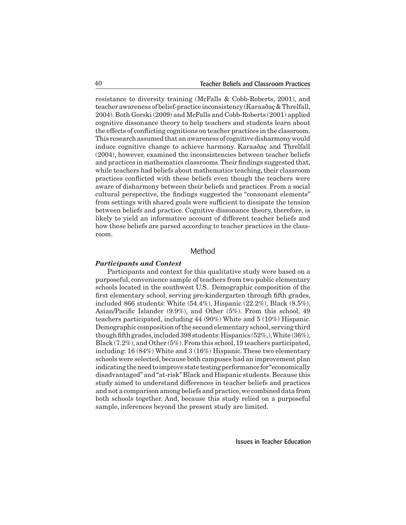resistance to diversity training (McFalls & Cobb-Roberts, 2001), and teacherawareness ofbelief-practice inconsistency (Karaaðaç&Threlfall, 2004). Both Gorski (2009) and McFalls and Cobb-Roberts (2001) applied cognitive dissonance theory to help teachers and students learn about the effects of conflicting cognitions on teacher practices in the classroom. This research assumed that an awareness of cognitive disharmony would induce cognitive change to achieve harmony. Karaaðaç and Threlfall (2004), however, examined the inconsistencies between teacher beliefs and practices in mathematics classrooms.Their findings suggested that, while teachers had beliefs about mathematics teaching, their classroom practices conflicted with these beliefs even though the teachers were aware of disharmony between their beliefs and practices. From a social cultural perspective, the findings suggested the "consonant elements" from settings with shared goals were sufficient to dissipate the tension between beliefs and practice. Cognitive dissonance theory, therefore, is likely to yield an informative account of different teacher beliefs and how these beliefs are parsed according to teacher practices in the classroom.

# Method

#### *Participants and Context*

 Participants and context for this qualitative study were based on a purposeful, convenience sample of teachers from two public elementary schools located in the southwest U.S.. Demographic composition of the first elementary school, serving pre-kindergarten through fifth grades, included 866 students: White  $(54.4\%)$ , Hispanic  $(22.2\%)$ , Black  $(8.5\%)$ , Asian/Pacific Islander (9.9%), and Other (5%). From this school, 49 teachers participated, including 44 (90%) White and 5 (10%) Hispanic. Demographic composition ofthe second elementary school, serving third though fifth grades, included 398 students: Hispanics  $(52\%,)$ , White  $(36\%)$ , Black  $(7.2\%)$ , and Other  $(5\%)$ . From this school, 19 teachers participated, including: 16 (84%) White and 3 (16%) Hispanic. These two elementary schools were selected, because both campuses had an improvement plan indicating the need to improve state testing performance for "economically disadvantaged" and "at-risk" Black and Hispanic students. Because this study aimed to understand differences in teacher beliefs and practices and not a comparison among beliefs and practice,we combined data from both schools together. And, because this study relied on a purposeful sample, inferences beyond the present study are limited.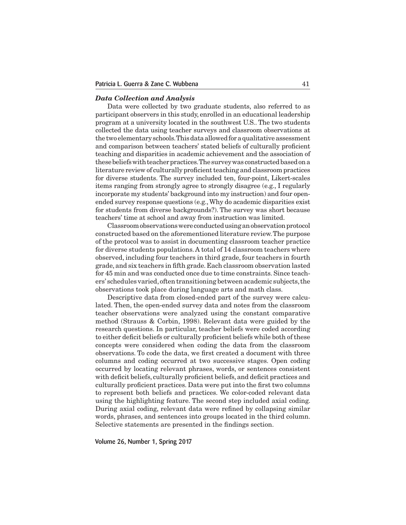#### *Data Collection and Analysis*

 Data were collected by two graduate students, also referred to as participant observers in this study, enrolled in an educational leadership program at a university located in the southwest U.S.. The two students collected the data using teacher surveys and classroom observations at the two elementary schools. This data allowed for a qualitative assessment and comparison between teachers' stated beliefs of culturally proficient teaching and disparities in academic achievement and the association of these beliefs with teacher practices. The survey was constructed based on a literature review of culturally proficient teaching and classroom practices for diverse students. The survey included ten, four-point, Likert-scales items ranging from strongly agree to strongly disagree (e.g., I regularly incorporate my students' background into my instruction) and four openended survey response questions (e.g.,Why do academic disparities exist for students from diverse backgrounds?). The survey was short because teachers' time at school and away from instruction was limited.

 Classroomobservationswereconductedusinganobservationprotocol constructed based on the aforementioned literature review.The purpose of the protocol was to assist in documenting classroom teacher practice for diverse students populations.A total of 14 classroom teachers where observed, including four teachers in third grade, four teachers in fourth grade, and six teachers in fifth grade. Each classroom observation lasted for 45 min and was conducted once due to time constraints. Since teachers' schedules varied,oftentransitioning betweenacademic subjects,the observations took place during language arts and math class.

 Descriptive data from closed-ended part of the survey were calculated. Then, the open-ended survey data and notes from the classroom teacher observations were analyzed using the constant comparative method (Strauss & Corbin, 1998). Relevant data were guided by the research questions. In particular, teacher beliefs were coded according to either deficit beliefs or culturally proficient beliefs while both of these concepts were considered when coding the data from the classroom observations. To code the data, we first created a document with three columns and coding occurred at two successive stages. Open coding occurred by locating relevant phrases, words, or sentences consistent with deficit beliefs, culturally proficient beliefs, and deficit practices and culturally proficient practices. Data were put into the first two columns to represent both beliefs and practices. We color-coded relevant data using the highlighting feature. The second step included axial coding. During axial coding, relevant data were refined by collapsing similar words, phrases, and sentences into groups located in the third column. Selective statements are presented in the findings section.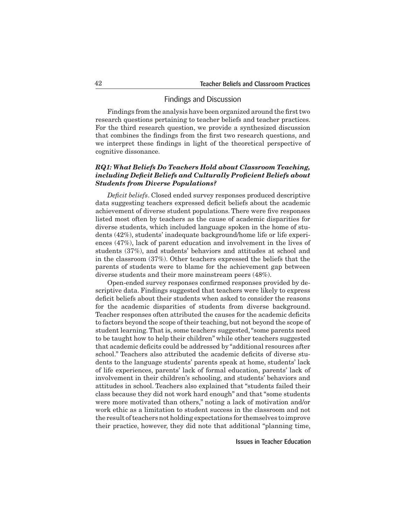### Findings and Discussion

Findings from the analysis have been organized around the first two research questions pertaining to teacher beliefs and teacher practices. For the third research question, we provide a synthesized discussion that combines the findings from the first two research questions, and we interpret these findings in light of the theoretical perspective of cognitive dissonance.

# *RQ1: What Beliefs Do Teachers Hold about Classroom Teaching, including Deficit Beliefs and Culturally Proficient Beliefs about Students from Diverse Populations?*

*Deficit beliefs*. Closed ended survey responses produced descriptive data suggesting teachers expressed deficit beliefs about the academic achievement of diverse student populations. There were five responses listed most often by teachers as the cause of academic disparities for diverse students, which included language spoken in the home of students (42%), students' inadequate background/home life or life experiences (47%), lack of parent education and involvement in the lives of students (37%), and students' behaviors and attitudes at school and in the classroom (37%). Other teachers expressed the beliefs that the parents of students were to blame for the achievement gap between diverse students and their more mainstream peers (48%).

 Open-ended survey responses confirmed responses provided by descriptive data. Findings suggested that teachers were likely to express deficit beliefs about their students when asked to consider the reasons for the academic disparities of students from diverse background. Teacher responses often attributed the causes for the academic deficits to factors beyond the scope of their teaching, but not beyond the scope of student learning.That is, some teachers suggested,"some parents need to be taught how to help their children" while other teachers suggested that academic deficits could be addressed by "additional resources after school." Teachers also attributed the academic deficits of diverse students to the language students' parents speak at home, students' lack of life experiences, parents' lack of formal education, parents' lack of involvement in their children's schooling, and students' behaviors and attitudes in school. Teachers also explained that "students failed their class because they did not work hard enough" and that "some students were more motivated than others," noting a lack of motivation and/or work ethic as a limitation to student success in the classroom and not the result ofteachers not holding expectations for themselves to improve their practice, however, they did note that additional "planning time,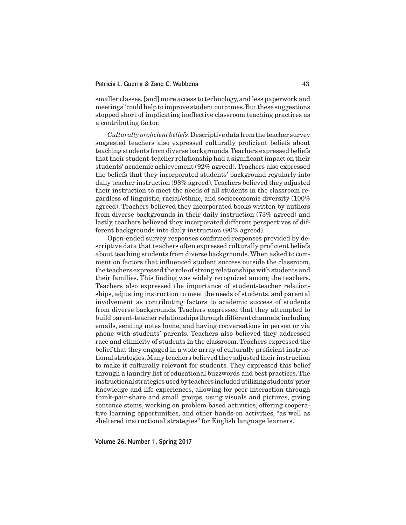smaller classes,[and] more access to technology, and less paperwork and meetings" could help to improve student outcomes. But these suggestions stopped short of implicating ineffective classroom teaching practices as a contributing factor.

*Culturally proficient beliefs*.Descriptivedatafromthe teacher survey suggested teachers also expressed culturally proficient beliefs about teaching students from diverse backgrounds.Teachers expressed beliefs thattheir student-teacher relationship had a significantimpact on their students' academic achievement (92% agreed).Teachers also expressed the beliefs that they incorporated students' background regularly into daily teacher instruction (98% agreed).Teachers believed they adjusted their instruction to meet the needs of all students in the classroom regardless of linguistic, racial/ethnic, and socioeconomic diversity (100% agreed). Teachers believed they incorporated books written by authors from diverse backgrounds in their daily instruction (73% agreed) and lastly, teachers believed they incorporated different perspectives of different backgrounds into daily instruction (90% agreed).

 Open-ended survey responses confirmed responses provided by descriptive data that teachers often expressed culturally proficient beliefs about teaching students from diverse backgrounds.When asked to comment on factors that influenced student success outside the classroom, the teachers expressed the role of strong relationships with students and their families. This finding was widely recognized among the teachers. Teachers also expressed the importance of student-teacher relationships, adjusting instruction to meet the needs of students, and parental involvement as contributing factors to academic success of students from diverse backgrounds. Teachers expressed that they attempted to build parent-teacher relationships through different channels, including emails, sending notes home, and having conversations in person or via phone with students' parents. Teachers also believed they addressed race and ethnicity of students in the classroom.Teachers expressed the belief that they engaged in a wide array of culturally proficient instructional strategies.Many teachers believed they adjusted their instruction to make it culturally relevant for students. They expressed this belief through a laundry list of educational buzzwords and best practices.The instructional strategiesusedbyteachers includedutilizingstudents'prior knowledge and life experiences, allowing for peer interaction through think-pair-share and small groups, using visuals and pictures, giving sentence stems, working on problem based activities, offering cooperative learning opportunities, and other hands-on activities, "as well as sheltered instructional strategies" for English language learners.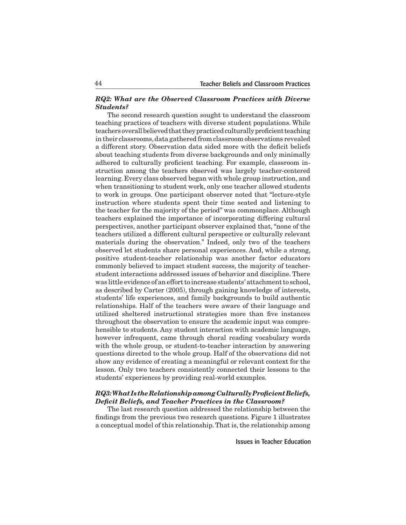### *RQ2: What are the Observed Classroom Practices with Diverse Students?*

 The second research question sought to understand the classroom teaching practices of teachers with diverse student populations. While teachers overall believed that they practiced culturally proficient teaching in their classrooms,data gathered from classroom observations revealed a different story. Observation data sided more with the deficit beliefs about teaching students from diverse backgrounds and only minimally adhered to culturally proficient teaching. For example, classroom instruction among the teachers observed was largely teacher-centered learning. Every class observed began with whole group instruction, and when transitioning to student work, only one teacher allowed students to work in groups. One participant observer noted that "lecture-style instruction where students spent their time seated and listening to the teacher for the majority of the period" was commonplace. Although teachers explained the importance of incorporating differing cultural perspectives, another participant observer explained that, "none of the teachers utilized a different cultural perspective or culturally relevant materials during the observation." Indeed, only two of the teachers observed let students share personal experiences. And, while a strong, positive student-teacher relationship was another factor educators commonly believed to impact student success, the majority of teacherstudent interactions addressed issues of behavior and discipline. There was little evidence of an effort to increase students' attachment to school, as described by Carter (2005), through gaining knowledge of interests, students' life experiences, and family backgrounds to build authentic relationships. Half of the teachers were aware of their language and utilized sheltered instructional strategies more than five instances throughout the observation to ensure the academic input was comprehensible to students. Any student interaction with academic language, however infrequent, came through choral reading vocabulary words with the whole group, or student-to-teacher interaction by answering questions directed to the whole group. Half of the observations did not show any evidence of creating a meaningful or relevant context for the lesson. Only two teachers consistently connected their lessons to the students' experiences by providing real-world examples.

### *RQ3: What Is the Relationship among Culturally Proficient Beliefs, Deficit Beliefs, and Teacher Practices in the Classroom?*

 The last research question addressed the relationship between the findings from the previous two research questions. Figure 1 illustrates a conceptual model of this relationship.That is, the relationship among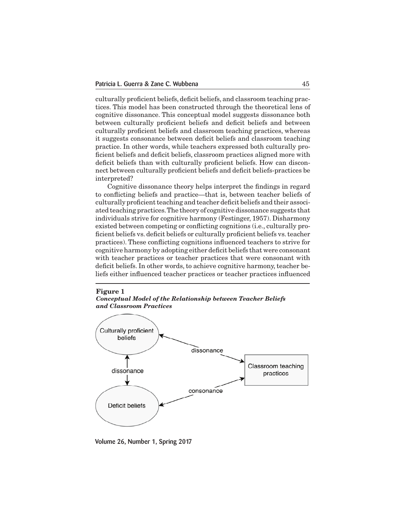culturally proficient beliefs, deficit beliefs, and classroom teaching practices. This model has been constructed through the theoretical lens of cognitive dissonance. This conceptual model suggests dissonance both between culturally proficient beliefs and deficit beliefs and between culturally proficient beliefs and classroom teaching practices, whereas it suggests consonance between deficit beliefs and classroom teaching practice. In other words, while teachers expressed both culturally proficient beliefs and deficit beliefs, classroom practices aligned more with deficit beliefs than with culturally proficient beliefs. How can disconnect between culturally proficient beliefs and deficit beliefs-practices be interpreted?

 Cognitive dissonance theory helps interpret the findings in regard to conflicting beliefs and practice—that is, between teacher beliefs of culturally proficientteaching and teacher deficit beliefs and their associated teaching practices.The theory of cognitive dissonance suggests that individuals strive for cognitive harmony (Festinger, 1957). Disharmony existed between competing or conflicting cognitions (i.e., culturally proficient beliefs vs. deficit beliefs or culturally proficient beliefs vs.teacher practices). These conflicting cognitions influenced teachers to strive for cognitive harmony by adopting either deficit beliefs that were consonant with teacher practices or teacher practices that were consonant with deficit beliefs. In other words, to achieve cognitive harmony, teacher beliefs either influenced teacher practices or teacher practices influenced

### **Figure 1** *Conceptual Model of the Relationship between Teacher Beliefs and Classroom Practices*



Volume 26, Number 1, Spring 2017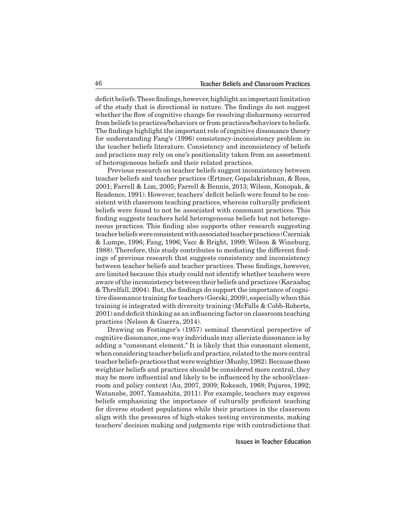deficit beliefs. These findings, however, highlight an important limitation of the study that is directional in nature. The findings do not suggest whether the flow of cognitive change for resolving disharmony occurred from beliefs to practices/behaviors or from practices/behaviors to beliefs. The findings highlight the important role of cognitive dissonance theory for understanding Fang's (1996) consistency-inconsistency problem in the teacher beliefs literature. Consistency and inconsistency of beliefs and practices may rely on one's positionality taken from an assortment of heterogeneous beliefs and their related practices.

 Previous research on teacher beliefs suggest inconsistency between teacher beliefs and teacher practices (Ertmer, Gopalakrishnan, & Ross, 2001; Farrell & Lim, 2005; Farrell & Bennis, 2013; Wilson, Konopak, & Readence, 1991). However, teachers' deficit beliefs were found to be consistent with classroom teaching practices, whereas culturally proficient beliefs were found to not be associated with consonant practices. This finding suggests teachers held heterogeneous beliefs but not heterogeneous practices. This finding also supports other research suggesting teacher beliefs were consistent with associated teacher practices (Czerniak & Lumpe, 1996; Fang, 1996; Vacc & Bright, 1999; Wilson & Wineburg, 1988).Therefore, this study contributes to mediating the different findings of previous research that suggests consistency and inconsistency between teacher beliefs and teacher practices. These findings, however, are limited because this study could not identify whether teachers were aware ofthe inconsistency between their beliefs and practices (Karaaðaç & Threlfall,  $2004$ ). But, the findings do support the importance of cognitive dissonance training for teachers (Gorski, 2009), especially when this training is integrated with diversity training (McFalls & Cobb-Roberts,  $2001$ ) and deficit thinking as an influencing factor on classroom teaching practices (Nelson & Guerra, 2014).

 Drawing on Festinger's (1957) seminal theoretical perspective of cognitive dissonance, one way individuals may alleviate dissonance is by adding a "consonant element." It is likely that this consonant element, when considering teacher beliefs and practice, related to the more central teacherbeliefs-practices thatwereweightier (Munby,1982).Becausethese weightier beliefs and practices should be considered more central, they may be more influential and likely to be influenced by the school/classroom and policy context (Au, 2007, 2009; Rokeach, 1968; Pajares, 1992; Watanabe, 2007, Yamashita, 2011). For example, teachers may express beliefs emphasizing the importance of culturally proficient teaching for diverse student populations while their practices in the classroom align with the pressures of high-stakes testing environments, making teachers' decision making and judgments ripe with contradictions that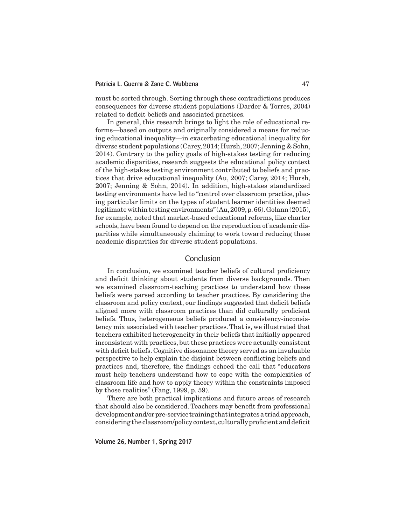must be sorted through. Sorting through these contradictions produces consequences for diverse student populations (Darder & Torres, 2004) related to deficit beliefs and associated practices.

 In general, this research brings to light the role of educational reforms—based on outputs and originally considered a means for reducing educational inequality—in exacerbating educational inequality for diverse student populations (Carey, 2014; Hursh, 2007; Jenning & Sohn, 2014). Contrary to the policy goals of high-stakes testing for reducing academic disparities, research suggests the educational policy context of the high-stakes testing environment contributed to beliefs and practices that drive educational inequality (Au, 2007; Carey, 2014; Hursh, 2007; Jenning & Sohn, 2014). In addition, high-stakes standardized testing environments have led to "control over classroom practice, placing particular limits on the types of student learner identities deemed legitimate within testing environments" (Au, 2009, p. 66). Golann (2015), for example, noted that market-based educational reforms, like charter schools, have been found to depend on the reproduction of academic disparities while simultaneously claiming to work toward reducing these academic disparities for diverse student populations.

# Conclusion

 In conclusion, we examined teacher beliefs of cultural proficiency and deficit thinking about students from diverse backgrounds. Then we examined classroom-teaching practices to understand how these beliefs were parsed according to teacher practices. By considering the classroom and policy context, our findings suggested that deficit beliefs aligned more with classroom practices than did culturally proficient beliefs. Thus, heterogeneous beliefs produced a consistency-inconsistency mix associated with teacher practices.That is, we illustrated that teachers exhibited heterogeneity in their beliefs that initially appeared inconsistent with practices, but these practices were actually consistent with deficit beliefs. Cognitive dissonance theory served as an invaluable perspective to help explain the disjoint between conflicting beliefs and practices and, therefore, the findings echoed the call that "educators must help teachers understand how to cope with the complexities of classroom life and how to apply theory within the constraints imposed by those realities" (Fang, 1999, p. 59).

 There are both practical implications and future areas of research that should also be considered. Teachers may benefit from professional development and/or pre-service training that integrates a triad approach, considering the classroom/policy context, culturally proficient and deficit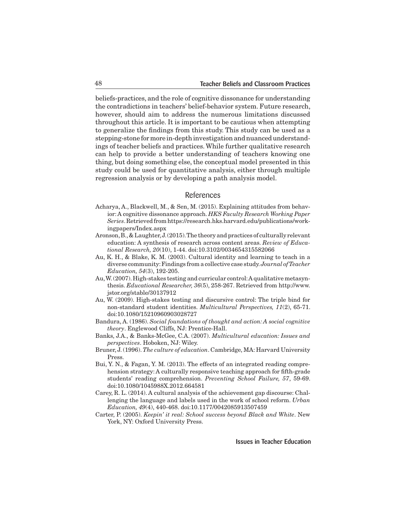beliefs-practices, and the role of cognitive dissonance for understanding the contradictions in teachers' belief-behavior system. Future research, however, should aim to address the numerous limitations discussed throughout this article. It is important to be cautious when attempting to generalize the findings from this study. This study can be used as a stepping-stone for more in-depth investigation and nuanced understandings of teacher beliefs and practices.While further qualitative research can help to provide a better understanding of teachers knowing one thing, but doing something else, the conceptual model presented in this study could be used for quantitative analysis, either through multiple regression analysis or by developing a path analysis model.

# References

- Acharya, A., Blackwell, M., & Sen, M. (2015). Explaining attitudes from behavior:A cognitive dissonance approach. *HKS Faculty Research Working Paper Series*.Retrievedfromhttps://research.hks.harvard.edu/publications/workingpapers/Index.aspx
- Aronson,B.,& Laughter,J.(2015).The theory and practices of culturally relevant education: A synthesis of research across content areas. *Review of Educational Research, 20*(10), 1-44. doi:10.3102/0034654315582066
- Au, K. H., & Blake, K. M. (2003). Cultural identity and learning to teach in a diverse community:Findings from a collective case study.*Journal of Teacher Education, 54*(3), 192-205.
- Au,W.(2007).High-stakes testing and curricular control:A qualitative metasynthesis. *Educational Researcher, 36*(5), 258-267. Retrieved from http://www. jstor.org/stable/30137912
- Au, W. (2009). High-stakes testing and discursive control: The triple bind for non-standard student identities. *Multicultural Perspectives, 11*(2), 65-71. doi:10.1080/15210960903028727
- Bandura, A. (1986). *Social foundations of thought and action: A social cognitive theory*. Englewood Cliffs, NJ: Prentice-Hall.
- Banks, J.A., & Banks-McGee, C.A. (2007). *Multicultural education: Issues and perspectives*. Hoboken, NJ: Wiley.
- Bruner, J. (1996).*The culture of education*. Cambridge, MA: Harvard University Press.
- Bui, Y. N., & Fagan, Y. M. (2013). The effects of an integrated reading comprehension strategy: A culturally responsive teaching approach for fifth-grade students' reading comprehension. *Preventing School Failure, 57*, 59-69. doi:10.1080/1045988X.2012.664581
- Carey, R. L. (2014). A cultural analysis of the achievement gap discourse: Challenging the language and labels used in the work of school reform. *Urban Education, 49*(4), 440-468. doi:10.1177/0042085913507459
- Carter, P. (2005). *Keepin' it real: School success beyond Black and White*. New York, NY: Oxford University Press.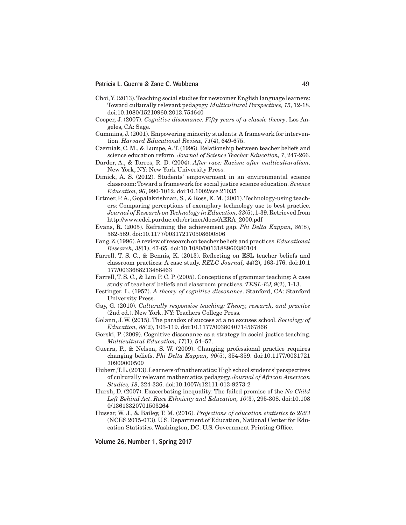- Choi,Y.(2013).Teaching social studies for newcomer English language learners: Toward culturally relevant pedagogy. *Multicultural Perspectives, 15*, 12-18. doi:10.1080/15210960.2013.754640
- Cooper, J. (2007). *Cognitive dissonance: Fifty years of a classic theory*. Los Angeles, CA: Sage.
- Cummins, J. (2001). Empowering minority students: A framework for intervention. *Harvard Educational Review, 71*(4), 649-675.
- Czerniak, C. M., & Lumpe, A.T. (1996). Relationship between teacher beliefs and science education reform. *Journal of Science Teacher Education, 7*, 247-266.
- Darder, A., & Torres, R. D. (2004). *After race: Racism after multiculturalism*. New York, NY: New York University Press.
- Dimick, A. S. (2012). Students' empowerment in an environmental science classroom:Toward a framework for social justice science education. *Science Education, 96*, 990-1012. doi:10.1002/sce.21035
- Ertmer, P.A., Gopalakrishnan, S., & Ross, E. M. (2001).Technology-using teachers: Comparing perceptions of exemplary technology use to best practice. *Journal of Research on Technology in Education, 33*(5), 1-39. Retrieved from http://www.edci.purdue.edu/ertmer/docs/AERA\_2000.pdf
- Evans, R. (2005). Reframing the achievement gap. *Phi Delta Kappan, 86*(8), 582-589. doi:10.1177/003172170508600806
- Fang,Z.(1996).Areviewof researchonteacher beliefsandpractices.*Educational Research, 38*(1), 47-65. doi:10.1080/0013188960380104
- Farrell, T. S. C., & Bennis, K. (2013). Reflecting on ESL teacher beliefs and classroom practices: A case study. *RELC Journal, 44*(2), 163-176. doi:10.1 177/0033688213488463
- Farrell, T. S. C., & Lim P. C. P. (2005). Conceptions of grammar teaching: A case study of teachers' beliefs and classroom practices. *TESL-EJ, 9*(2), 1-13.
- Festinger, L. (1957). *A theory of cognitive dissonance*. Stanford, CA: Stanford University Press.
- Gay, G. (2010). *Culturally responsive teaching: Theory, research, and practice* (2nd ed.). New York, NY: Teachers College Press.
- Golann, J. W. (2015). The paradox of success at a no excuses school. *Sociology of Education, 88*(2), 103-119. doi:10.1177/0038040714567866
- Gorski, P. (2009). Cognitive dissonance as a strategy in social justice teaching. *Multicultural Education, 17*(1), 54–57.
- Guerra, P., & Nelson, S. W. (2009). Changing professional practice requires changing beliefs. *Phi Delta Kappan, 90*(5), 354-359. doi:10.1177/0031721 70909000509
- Hubert,T.L.(2013).Learners ofmathematics:Highschool students'perspectives of culturally relevant mathematics pedagogy. *Journal of African American Studies, 18*, 324-336. doi:10.1007/s12111-013-9273-2
- Hursh, D. (2007). Exacerbating inequality: The failed promise of the *No Child Left Behind Act*. *Race Ethnicity and Education, 10*(3), 295-308. doi:10.108 0/13613320701503264
- Hussar, W. J., & Bailey, T. M. (2016). *Projections of education statistics to 2023* (NCES 2015-073). U.S. Department of Education, National Center for Education Statistics. Washington, DC: U.S. Government Printing Office.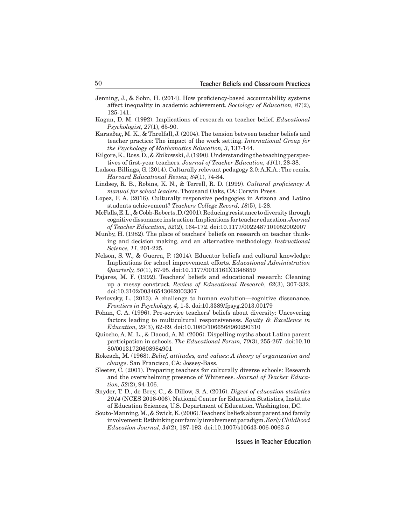- Jenning, J., & Sohn, H. (2014). How proficiency-based accountability systems affect inequality in academic achievement. *Sociology of Education, 87*(2), 125-141.
- Kagan, D. M. (1992). Implications of research on teacher belief. *Educational Psychologist, 27*(1), 65-90.
- Karaaðaç, M. K., & Threlfall, J. (2004).The tension between teacher beliefs and teacher practice: The impact of the work setting. *International Group for the Psychology of Mathematics Education, 3*, 137-144.
- Kilgore, K., Ross, D., & Zbikowski, J. (1990). Understanding the teaching perspectives of first-year teachers. *Journal of Teacher Education, 41*(1), 28-38.
- Ladson-Billings, G. (2014). Culturally relevant pedagogy 2.0:A.K.A.:The remix. *Harvard Educational Review, 84*(1), 74-84.
- Lindsey, R. B., Robins, K. N., & Terrell, R. D. (1999). *Cultural proficiency: A manual for school leaders*. Thousand Oaks, CA: Corwin Press.
- Lopez, F. A. (2016). Culturally responsive pedagogies in Arizona and Latino students achievement? *Teachers College Record, 18*(5), 1-28.
- McFalls,E.L.,&Cobb-Roberts,D.(2001).Reducingresistancetodiversitythrough cognitivedissonance instruction:Implications for teacher education.*Journal of Teacher Education, 52*(2), 164-172. doi:10.1177/0022487101052002007
- Munby, H. (1982). The place of teachers' beliefs on research on teacher thinking and decision making, and an alternative methodology. *Instructional Science, 11*, 201-225.
- Nelson, S. W., & Guerra, P. (2014). Educator beliefs and cultural knowledge: Implications for school improvement efforts. *Educational Administration Quarterly, 50*(1), 67-95. doi:10.1177/0013161X1348859
- Pajares, M. F. (1992). Teachers' beliefs and educational research: Cleaning up a messy construct. *Review of Educational Research, 62*(3), 307-332. doi:10.3102/00346543062003307
- Perlovsky, L. (2013). A challenge to human evolution—cognitive dissonance. *Frontiers in Psychology, 4*, 1-3. doi:10.3389/fpsyg.2013.00179
- Pohan, C. A. (1996). Pre-service teachers' beliefs about diversity: Uncovering factors leading to multicultural responsiveness. *Equity & Excellence in Education, 29*(3), 62-69. doi:10.1080/1066568960290310
- Quiocho, A. M. L., & Daoud, A. M. (2006). Dispelling myths about Latino parent participation in schools. *The Educational Forum, 70*(3), 255-267. doi:10.10 80/00131720608984901
- Rokeach, M. (1968). *Belief, attitudes, and values: A theory of organization and change*. San Francisco, CA: Jossey-Bass.
- Sleeter, C. (2001). Preparing teachers for culturally diverse schools: Research and the overwhelming presence of Whiteness. *Journal of Teacher Education, 52*(2), 94-106.
- Snyder, T. D., de Brey, C., & Dillow, S. A. (2016). *Digest of education statistics 2014* (NCES 2016-006). National Center for Education Statistics, Institute of Education Sciences, U.S. Department of Education. Washington, DC.
- Souto-Manning,M.,& Swick,K.(2006).Teachers' beliefs aboutparent andfamily involvement:Rethinkingour familyinvolvementparadigm.*Early Childhood Education Journal, 34*(2), 187-193. doi:10.1007/s10643-006-0063-5